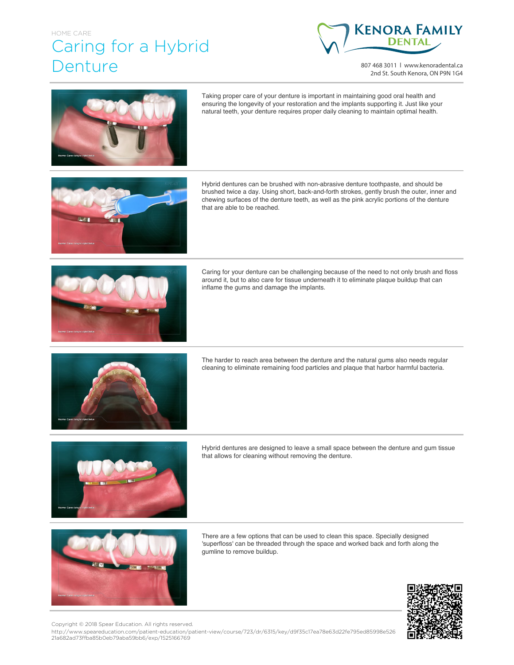## HOME CARE Caring for a Hybrid Denture



807 468 3011 | www.kenoradental.ca 2nd St. South Kenora, ON P9N 1G4



Taking proper care of your denture is important in maintaining good oral health and ensuring the longevity of your restoration and the implants supporting it. Just like your natural teeth, your denture requires proper daily cleaning to maintain optimal health.



Hybrid dentures can be brushed with non-abrasive denture toothpaste, and should be brushed twice a day. Using short, back-and-forth strokes, gently brush the outer, inner and chewing surfaces of the denture teeth, as well as the pink acrylic portions of the denture that are able to be reached.



Caring for your denture can be challenging because of the need to not only brush and floss around it, but to also care for tissue underneath it to eliminate plaque buildup that can inflame the gums and damage the implants.



The harder to reach area between the denture and the natural gums also needs regular cleaning to eliminate remaining food particles and plaque that harbor harmful bacteria.



Hybrid dentures are designed to leave a small space between the denture and gum tissue that allows for cleaning without removing the denture.



There are a few options that can be used to clean this space. Specially designed 'superfloss' can be threaded through the space and worked back and forth along the gumline to remove buildup.



Copyright © 2018 Spear Education. All rights reserved.

http://www.speareducation.com/patient-education/patient-view/course/723/dr/6315/key/d9f35c17ea78e63d22fe795ed85998e526 21a682ad73ffba85b0eb79aba59bb6/exp/1525166769